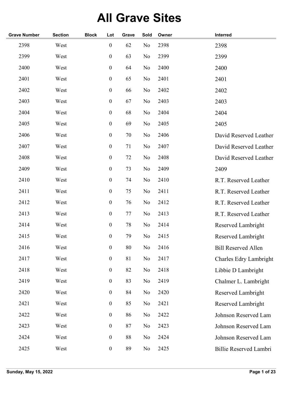## **All Grave Sites**

| <b>Grave Number</b> | <b>Section</b> | <b>Block</b> | Lot              | Grave | Sold           | Owner | Interred                   |
|---------------------|----------------|--------------|------------------|-------|----------------|-------|----------------------------|
| 2398                | West           |              | $\boldsymbol{0}$ | 62    | N <sub>o</sub> | 2398  | 2398                       |
| 2399                | West           |              | $\boldsymbol{0}$ | 63    | No             | 2399  | 2399                       |
| 2400                | West           |              | $\boldsymbol{0}$ | 64    | No             | 2400  | 2400                       |
| 2401                | West           |              | $\boldsymbol{0}$ | 65    | N <sub>o</sub> | 2401  | 2401                       |
| 2402                | West           |              | $\boldsymbol{0}$ | 66    | No             | 2402  | 2402                       |
| 2403                | West           |              | $\boldsymbol{0}$ | 67    | No             | 2403  | 2403                       |
| 2404                | West           |              | $\boldsymbol{0}$ | 68    | No             | 2404  | 2404                       |
| 2405                | West           |              | $\boldsymbol{0}$ | 69    | No             | 2405  | 2405                       |
| 2406                | West           |              | $\boldsymbol{0}$ | 70    | No             | 2406  | David Reserved Leather     |
| 2407                | West           |              | $\boldsymbol{0}$ | 71    | No             | 2407  | David Reserved Leather     |
| 2408                | West           |              | $\boldsymbol{0}$ | 72    | No             | 2408  | David Reserved Leather     |
| 2409                | West           |              | $\boldsymbol{0}$ | 73    | No             | 2409  | 2409                       |
| 2410                | West           |              | $\boldsymbol{0}$ | 74    | No             | 2410  | R.T. Reserved Leather      |
| 2411                | West           |              | $\boldsymbol{0}$ | 75    | No             | 2411  | R.T. Reserved Leather      |
| 2412                | West           |              | $\boldsymbol{0}$ | 76    | No             | 2412  | R.T. Reserved Leather      |
| 2413                | West           |              | $\boldsymbol{0}$ | 77    | No             | 2413  | R.T. Reserved Leather      |
| 2414                | West           |              | $\boldsymbol{0}$ | 78    | No             | 2414  | Reserved Lambright         |
| 2415                | West           |              | $\boldsymbol{0}$ | 79    | No             | 2415  | Reserved Lambright         |
| 2416                | West           |              | $\boldsymbol{0}$ | 80    | No             | 2416  | <b>Bill Reserved Allen</b> |
| 2417                | West           |              | $\boldsymbol{0}$ | 81    | No             | 2417  | Charles Edry Lambright     |
| 2418                | West           |              | $\boldsymbol{0}$ | 82    | No             | 2418  | Libbie D Lambright         |
| 2419                | West           |              | $\boldsymbol{0}$ | 83    | No             | 2419  | Chalmer L. Lambright       |
| 2420                | West           |              | $\boldsymbol{0}$ | 84    | No             | 2420  | Reserved Lambright         |
| 2421                | West           |              | $\boldsymbol{0}$ | 85    | No             | 2421  | Reserved Lambright         |
| 2422                | West           |              | $\boldsymbol{0}$ | 86    | No             | 2422  | Johnson Reserved Lam       |
| 2423                | West           |              | $\boldsymbol{0}$ | 87    | No             | 2423  | Johnson Reserved Lam       |
| 2424                | West           |              | $\boldsymbol{0}$ | 88    | No             | 2424  | Johnson Reserved Lam       |
| 2425                | West           |              | $\boldsymbol{0}$ | 89    | No             | 2425  | Billie Reserved Lambri     |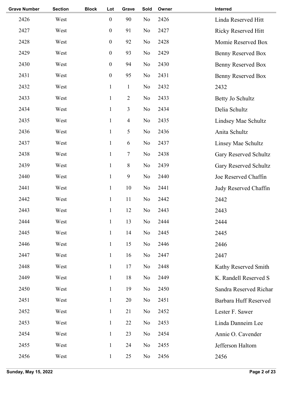| <b>Grave Number</b> | <b>Section</b> | <b>Block</b> | Lot              | Grave                   | Sold | Owner | Interred                   |
|---------------------|----------------|--------------|------------------|-------------------------|------|-------|----------------------------|
| 2426                | West           |              | $\boldsymbol{0}$ | 90                      | No   | 2426  | Linda Reserved Hitt        |
| 2427                | West           |              | $\boldsymbol{0}$ | 91                      | No   | 2427  | <b>Ricky Reserved Hitt</b> |
| 2428                | West           |              | $\boldsymbol{0}$ | 92                      | No   | 2428  | Momie Reserved Box         |
| 2429                | West           |              | $\boldsymbol{0}$ | 93                      | No   | 2429  | Benny Reserved Box         |
| 2430                | West           |              | $\boldsymbol{0}$ | 94                      | No   | 2430  | <b>Benny Reserved Box</b>  |
| 2431                | West           |              | $\boldsymbol{0}$ | 95                      | No   | 2431  | <b>Benny Reserved Box</b>  |
| 2432                | West           |              | $\mathbf{1}$     | $\mathbf{1}$            | No   | 2432  | 2432                       |
| 2433                | West           |              | $\mathbf{1}$     | $\overline{2}$          | No   | 2433  | Betty Jo Schultz           |
| 2434                | West           |              | $\mathbf{1}$     | 3                       | No   | 2434  | Delia Schultz              |
| 2435                | West           |              | $\mathbf{1}$     | $\overline{\mathbf{4}}$ | No   | 2435  | Lindsey Mae Schultz        |
| 2436                | West           |              | $\mathbf{1}$     | 5                       | No   | 2436  | Anita Schultz              |
| 2437                | West           |              | $\mathbf{1}$     | $\sqrt{6}$              | No   | 2437  | Linsey Mae Schultz         |
| 2438                | West           |              | $\mathbf{1}$     | $\tau$                  | No   | 2438  | Gary Reserved Schultz      |
| 2439                | West           |              | $\mathbf{1}$     | 8                       | No   | 2439  | Gary Reserved Schultz      |
| 2440                | West           |              | $\mathbf{1}$     | 9                       | No   | 2440  | Joe Reserved Chaffin       |
| 2441                | West           |              | $\mathbf{1}$     | 10                      | No   | 2441  | Judy Reserved Chaffin      |
| 2442                | West           |              | $\mathbf{1}$     | 11                      | No   | 2442  | 2442                       |
| 2443                | West           |              | $\mathbf{1}$     | 12                      | No   | 2443  | 2443                       |
| 2444                | West           |              | $\mathbf{1}$     | 13                      | No   | 2444  | 2444                       |
| 2445                | West           |              | $\mathbf{1}$     | 14                      | No   | 2445  | 2445                       |
| 2446                | West           |              | $\mathbf{1}$     | 15                      | No   | 2446  | 2446                       |
| 2447                | West           |              | $\mathbf{1}$     | 16                      | No   | 2447  | 2447                       |
| 2448                | West           |              | $\mathbf{1}$     | 17                      | No   | 2448  | Kathy Reserved Smith       |
| 2449                | West           |              | $\mathbf{1}$     | 18                      | No   | 2449  | K. Randell Reserved S      |
| 2450                | West           |              | $\mathbf{1}$     | 19                      | No   | 2450  | Sandra Reserved Richar     |
| 2451                | West           |              | $\mathbf{1}$     | 20                      | No   | 2451  | Barbara Huff Reserved      |
| 2452                | West           |              | $\mathbf{1}$     | 21                      | No   | 2452  | Lester F. Sawer            |
| 2453                | West           |              | $\mathbf{1}$     | 22                      | No   | 2453  | Linda Danneim Lee          |
| 2454                | West           |              | $\mathbf{1}$     | 23                      | No   | 2454  | Annie O. Cavender          |
| 2455                | West           |              | $\mathbf{1}$     | 24                      | No   | 2455  | Jefferson Haltom           |
| 2456                | West           |              | $\mathbf{1}$     | 25                      | No   | 2456  | 2456                       |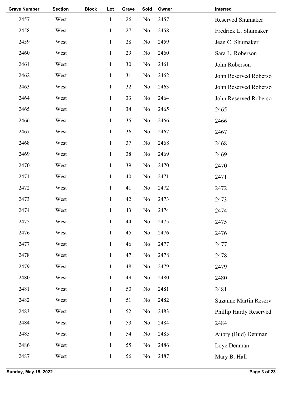| <b>Grave Number</b> | <b>Section</b> | <b>Block</b> | Lot          | Grave | Sold     | Owner | Interred                     |
|---------------------|----------------|--------------|--------------|-------|----------|-------|------------------------------|
| 2457                | West           |              | $\mathbf{1}$ | 26    | No       | 2457  | Reserved Shumaker            |
| 2458                | West           |              | $\mathbf{1}$ | 27    | No       | 2458  | Fredrick L. Shumaker         |
| 2459                | West           |              | $\mathbf{1}$ | 28    | No       | 2459  | Jean C. Shumaker             |
| 2460                | West           |              | $\mathbf{1}$ | 29    | No       | 2460  | Sara L. Roberson             |
| 2461                | West           |              | $\mathbf{1}$ | 30    | No       | 2461  | John Roberson                |
| 2462                | West           |              | $\mathbf{1}$ | 31    | No       | 2462  | John Reserved Roberso        |
| 2463                | West           |              | $\mathbf{1}$ | 32    | No       | 2463  | John Reserved Roberso        |
| 2464                | West           |              | $\mathbf{1}$ | 33    | No       | 2464  | John Reserved Roberso        |
| 2465                | West           |              | $\mathbf{1}$ | 34    | No       | 2465  | 2465                         |
| 2466                | West           |              | $\mathbf{1}$ | 35    | No       | 2466  | 2466                         |
| 2467                | West           |              | $\mathbf{1}$ | 36    | No       | 2467  | 2467                         |
| 2468                | West           |              | $\mathbf{1}$ | 37    | No       | 2468  | 2468                         |
| 2469                | West           |              | $\mathbf{1}$ | 38    | No       | 2469  | 2469                         |
| 2470                | West           |              | $\mathbf{1}$ | 39    | No       | 2470  | 2470                         |
| 2471                | West           |              | $\mathbf{1}$ | 40    | No       | 2471  | 2471                         |
| 2472                | West           |              | $\mathbf{1}$ | 41    | No       | 2472  | 2472                         |
| 2473                | West           |              | $\mathbf{1}$ | 42    | No       | 2473  | 2473                         |
| 2474                | West           |              | $\mathbf{1}$ | 43    | No       | 2474  | 2474                         |
| 2475                | West           |              | $\mathbf{1}$ | 44    | No       | 2475  | 2475                         |
| 2476                | West           |              | $\mathbf{1}$ | 45    | $\rm No$ | 2476  | 2476                         |
| 2477                | West           |              | $\mathbf{1}$ | 46    | No       | 2477  | 2477                         |
| 2478                | West           |              | $\mathbf{1}$ | 47    | No       | 2478  | 2478                         |
| 2479                | West           |              | $\mathbf{1}$ | 48    | No       | 2479  | 2479                         |
| 2480                | West           |              | $\mathbf{1}$ | 49    | No       | 2480  | 2480                         |
| 2481                | West           |              | $\mathbf{1}$ | 50    | No       | 2481  | 2481                         |
| 2482                | West           |              | $\mathbf{1}$ | 51    | No       | 2482  | <b>Suzanne Martin Reserv</b> |
| 2483                | West           |              | $\mathbf{1}$ | 52    | No       | 2483  | Phillip Hardy Reserved       |
| 2484                | West           |              | $\mathbf{1}$ | 53    | No       | 2484  | 2484                         |
| 2485                | West           |              | $\mathbf{1}$ | 54    | No       | 2485  | Aubry (Bud) Denman           |
| 2486                | West           |              | $\mathbf{1}$ | 55    | No       | 2486  | Loye Denman                  |
| 2487                | West           |              | $\mathbf{1}$ | 56    | No       | 2487  | Mary B. Hall                 |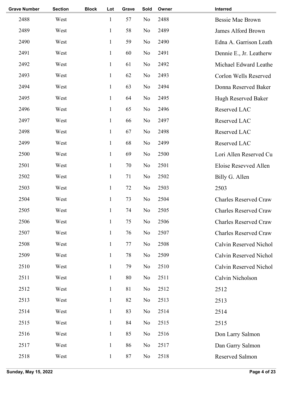| <b>Grave Number</b> | <b>Section</b> | <b>Block</b> | Lot          | Grave | Sold           | Owner | Interred                     |
|---------------------|----------------|--------------|--------------|-------|----------------|-------|------------------------------|
| 2488                | West           |              | $\mathbf{1}$ | 57    | No             | 2488  | <b>Bessie Mae Brown</b>      |
| 2489                | West           |              | $\mathbf{1}$ | 58    | No             | 2489  | James Alford Brown           |
| 2490                | West           |              | $\mathbf{1}$ | 59    | No             | 2490  | Edna A. Garrison Leath       |
| 2491                | West           |              | $\mathbf{1}$ | 60    | No             | 2491  | Dennie E., Jr. Leatherw      |
| 2492                | West           |              | $\mathbf{1}$ | 61    | No             | 2492  | Michael Edward Leathe        |
| 2493                | West           |              | $\mathbf{1}$ | 62    | No             | 2493  | Corlon Wells Reserved        |
| 2494                | West           |              | $\mathbf{1}$ | 63    | No             | 2494  | Donna Reserved Baker         |
| 2495                | West           |              | $\mathbf{1}$ | 64    | No             | 2495  | Hugh Reserved Baker          |
| 2496                | West           |              | $\mathbf{1}$ | 65    | No             | 2496  | Reserved LAC                 |
| 2497                | West           |              | $\mathbf{1}$ | 66    | No             | 2497  | Reserved LAC                 |
| 2498                | West           |              | $\mathbf{1}$ | 67    | No             | 2498  | Reserved LAC                 |
| 2499                | West           |              | $\mathbf{1}$ | 68    | No             | 2499  | Reserved LAC                 |
| 2500                | West           |              | $\mathbf{1}$ | 69    | No             | 2500  | Lori Allen Reserved Cu       |
| 2501                | West           |              | $\mathbf{1}$ | 70    | No             | 2501  | Eloise Resevved Allen        |
| 2502                | West           |              | $\mathbf{1}$ | 71    | No             | 2502  | Billy G. Allen               |
| 2503                | West           |              | $\mathbf{1}$ | 72    | No             | 2503  | 2503                         |
| 2504                | West           |              | 1            | 73    | No             | 2504  | <b>Charles Reserved Craw</b> |
| 2505                | West           |              | $\mathbf{1}$ | 74    | No             | 2505  | <b>Charles Reserved Craw</b> |
| 2506                | West           |              | $\mathbf{1}$ | 75    | No             | 2506  | <b>Charles Reserved Craw</b> |
| 2507                | West           |              | $\mathbf{1}$ | 76    | No             | 2507  | <b>Charles Reserved Craw</b> |
| 2508                | West           |              | $\mathbf{1}$ | 77    | No             | 2508  | Calvin Reserved Nichol       |
| 2509                | West           |              | $\mathbf{1}$ | 78    | No             | 2509  | Calvin Reserved Nichol       |
| 2510                | West           |              | $\mathbf{1}$ | 79    | No             | 2510  | Calvin Reserved Nichol       |
| 2511                | West           |              | $\mathbf{1}$ | 80    | No             | 2511  | Calvin Nicholson             |
| 2512                | West           |              | $\mathbf{1}$ | 81    | No             | 2512  | 2512                         |
| 2513                | West           |              | $\mathbf{1}$ | 82    | No             | 2513  | 2513                         |
| 2514                | West           |              | $\mathbf{1}$ | 83    | No             | 2514  | 2514                         |
| 2515                | West           |              | $\mathbf{1}$ | 84    | No             | 2515  | 2515                         |
| 2516                | West           |              | $\mathbf{1}$ | 85    | No             | 2516  | Don Larry Salmon             |
| 2517                | West           |              | $\mathbf{1}$ | 86    | N <sub>o</sub> | 2517  | Dan Garry Salmon             |
| 2518                | West           |              | $\mathbf{1}$ | 87    | N <sub>0</sub> | 2518  | Reserved Salmon              |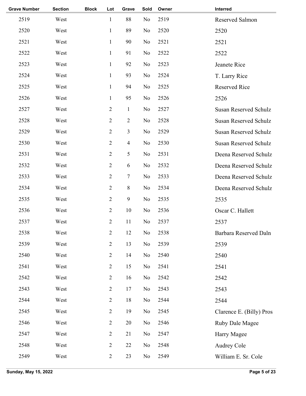| <b>Grave Number</b> | <b>Section</b> | <b>Block</b> | Lot            | Grave          | Sold | Owner | Interred                     |
|---------------------|----------------|--------------|----------------|----------------|------|-------|------------------------------|
| 2519                | West           |              | $\mathbf{1}$   | 88             | No   | 2519  | Reserved Salmon              |
| 2520                | West           |              | $\mathbf{1}$   | 89             | No   | 2520  | 2520                         |
| 2521                | West           |              | $\mathbf{1}$   | 90             | No   | 2521  | 2521                         |
| 2522                | West           |              | $\mathbf{1}$   | 91             | No   | 2522  | 2522                         |
| 2523                | West           |              | $\mathbf{1}$   | 92             | No   | 2523  | Jeanete Rice                 |
| 2524                | West           |              | $\mathbf{1}$   | 93             | No   | 2524  | T. Larry Rice                |
| 2525                | West           |              | $\mathbf{1}$   | 94             | No   | 2525  | <b>Reserved Rice</b>         |
| 2526                | West           |              | $\mathbf{1}$   | 95             | No   | 2526  | 2526                         |
| 2527                | West           |              | $\overline{2}$ | $\mathbf{1}$   | No   | 2527  | <b>Susan Reserved Schulz</b> |
| 2528                | West           |              | $\overline{2}$ | $\overline{2}$ | No   | 2528  | <b>Susan Reserved Schulz</b> |
| 2529                | West           |              | $\overline{2}$ | 3              | No   | 2529  | <b>Susan Reserved Schulz</b> |
| 2530                | West           |              | $\overline{2}$ | $\overline{4}$ | No   | 2530  | <b>Susan Reserved Schulz</b> |
| 2531                | West           |              | $\overline{2}$ | 5              | No   | 2531  | Deena Reserved Schulz        |
| 2532                | West           |              | $\overline{2}$ | 6              | No   | 2532  | Deena Reserved Schulz        |
| 2533                | West           |              | $\overline{2}$ | 7              | No   | 2533  | Deena Reserved Schulz        |
| 2534                | West           |              | $\overline{2}$ | 8              | No   | 2534  | Deena Reserved Schulz        |
| 2535                | West           |              | $\overline{2}$ | 9              | No   | 2535  | 2535                         |
| 2536                | West           |              | $\overline{2}$ | 10             | No   | 2536  | Oscar C. Hallett             |
| 2537                | West           |              | $\overline{c}$ | 11             | No   | 2537  | 2537                         |
| 2538                | West           |              | $\sqrt{2}$     | 12             | No   | 2538  | Barbara Reserved Daln        |
| 2539                | West           |              | $\overline{2}$ | 13             | No   | 2539  | 2539                         |
| 2540                | West           |              | $\overline{2}$ | 14             | No   | 2540  | 2540                         |
| 2541                | West           |              | $\overline{2}$ | 15             | No   | 2541  | 2541                         |
| 2542                | West           |              | $\overline{2}$ | 16             | No   | 2542  | 2542                         |
| 2543                | West           |              | $\overline{2}$ | 17             | No   | 2543  | 2543                         |
| 2544                | West           |              | $\overline{2}$ | 18             | No   | 2544  | 2544                         |
| 2545                | West           |              | $\overline{2}$ | 19             | No   | 2545  | Clarence E. (Billy) Pros     |
| 2546                | West           |              | $\mathbf{2}$   | 20             | No   | 2546  | Ruby Dale Magee              |
| 2547                | West           |              | $\overline{2}$ | 21             | No   | 2547  | Harry Magee                  |
| 2548                | West           |              | $\overline{2}$ | 22             | No   | 2548  | Audrey Cole                  |
| 2549                | West           |              | $\overline{2}$ | 23             | No   | 2549  | William E. Sr. Cole          |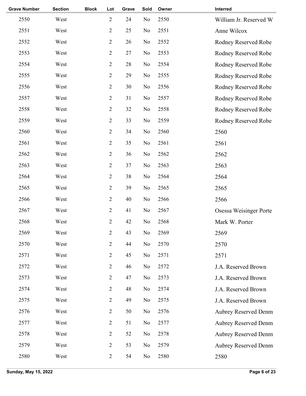| West<br>West<br>West<br>West<br>West |      | $\overline{2}$<br>$\overline{2}$<br>$\overline{2}$<br>$\overline{2}$ | 24<br>25<br>26 | N <sub>o</sub><br>N <sub>o</sub> | 2550<br>2551 | William Jr. Reserved W<br>Anne Wilcox |
|--------------------------------------|------|----------------------------------------------------------------------|----------------|----------------------------------|--------------|---------------------------------------|
|                                      |      |                                                                      |                |                                  |              |                                       |
|                                      |      |                                                                      |                |                                  |              |                                       |
|                                      |      |                                                                      |                | No                               | 2552         | Rodney Reserved Robe                  |
|                                      |      |                                                                      | 27             | No                               | 2553         | Rodney Reserved Robe                  |
|                                      |      | $\overline{2}$                                                       | 28             | N <sub>o</sub>                   | 2554         | Rodney Reserved Robe                  |
|                                      |      | $\overline{2}$                                                       | 29             | N <sub>o</sub>                   | 2555         | Rodney Reserved Robe                  |
| West                                 |      | $\overline{2}$                                                       | 30             | N <sub>o</sub>                   | 2556         | Rodney Reserved Robe                  |
| West                                 |      | $\overline{2}$                                                       | 31             | No                               | 2557         | Rodney Reserved Robe                  |
| West                                 |      | $\overline{2}$                                                       | 32             | N <sub>o</sub>                   | 2558         | Rodney Reserved Robe                  |
| West                                 |      | $\overline{c}$                                                       | 33             | N <sub>o</sub>                   | 2559         | Rodney Reserved Robe                  |
| West                                 |      | $\overline{2}$                                                       | 34             | N <sub>o</sub>                   | 2560         | 2560                                  |
| West                                 |      | $\overline{2}$                                                       | 35             | No                               | 2561         | 2561                                  |
| West                                 |      | $\overline{2}$                                                       | 36             | N <sub>o</sub>                   | 2562         | 2562                                  |
| West                                 |      | $\overline{2}$                                                       | 37             | N <sub>o</sub>                   | 2563         | 2563                                  |
| West                                 |      | $\overline{2}$                                                       | 38             | N <sub>o</sub>                   | 2564         | 2564                                  |
| West                                 |      | $\overline{2}$                                                       | 39             | N <sub>o</sub>                   | 2565         | 2565                                  |
| West                                 |      | $\overline{2}$                                                       | 40             | N <sub>o</sub>                   | 2566         | 2566                                  |
| West                                 |      | $\overline{2}$                                                       | 41             | No                               | 2567         | Osessa Weisinger Porte                |
| West                                 |      | $\overline{2}$                                                       | 42             | No                               | 2568         | Mark W. Porter                        |
| West                                 |      | $\overline{2}$                                                       | 43             | No                               | 2569         | 2569                                  |
| West                                 |      | $\overline{2}$                                                       | 44             | N <sub>o</sub>                   | 2570         | 2570                                  |
| West                                 |      | $\overline{2}$                                                       | 45             | N <sub>o</sub>                   | 2571         | 2571                                  |
| West                                 |      | $\overline{2}$                                                       | 46             | No                               | 2572         | J.A. Reserved Brown                   |
| West                                 |      | $\overline{2}$                                                       | 47             | No                               | 2573         | J.A. Reserved Brown                   |
| West                                 |      | $\overline{2}$                                                       | 48             | N <sub>o</sub>                   | 2574         | J.A. Reserved Brown                   |
| West                                 |      | $\overline{2}$                                                       | 49             | N <sub>o</sub>                   | 2575         | J.A. Reserved Brown                   |
| West                                 |      | $\overline{2}$                                                       | 50             | No                               | 2576         | <b>Aubrey Reserved Denm</b>           |
| West                                 |      | $\overline{2}$                                                       | 51             | No                               | 2577         | <b>Aubrey Reserved Denm</b>           |
| West                                 |      | $\overline{2}$                                                       | 52             | No                               | 2578         | <b>Aubrey Reserved Denm</b>           |
| West                                 |      | $\overline{2}$                                                       | 53             | No                               | 2579         | <b>Aubrey Reserved Denm</b>           |
| West                                 |      | $\overline{2}$                                                       | 54             | No                               | 2580         | 2580                                  |
|                                      | West |                                                                      |                |                                  |              |                                       |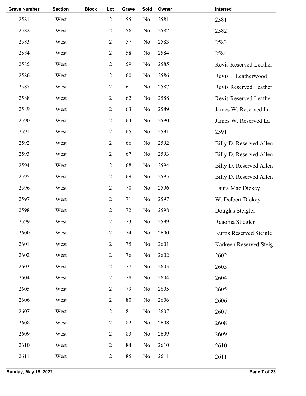|      |      | $\overline{2}$ | 55 | No       | 2581 | 2581                    |
|------|------|----------------|----|----------|------|-------------------------|
| West |      | $\overline{2}$ | 56 | No       | 2582 | 2582                    |
| West |      | $\overline{2}$ | 57 | No       | 2583 | 2583                    |
| West |      | $\overline{2}$ | 58 | No       | 2584 | 2584                    |
| West |      | $\overline{2}$ | 59 | No       | 2585 | Revis Reserved Leather  |
| West |      | $\sqrt{2}$     | 60 | No       | 2586 | Revis E Leatherwood     |
| West |      | $\sqrt{2}$     | 61 | No       | 2587 | Revis Reserved Leather  |
| West |      | $\overline{2}$ | 62 | No       | 2588 | Revis Reserved Leather  |
| West |      | $\overline{2}$ | 63 | No       | 2589 | James W. Reserved La    |
| West |      | $\sqrt{2}$     | 64 | No       | 2590 | James W. Reserved La    |
| West |      | $\overline{2}$ | 65 | No       | 2591 | 2591                    |
| West |      | $\overline{2}$ | 66 | No       | 2592 | Billy D. Reserved Allen |
| West |      | $\overline{2}$ | 67 | No       | 2593 | Billy D. Reserved Allen |
| West |      | $\sqrt{2}$     | 68 | No       | 2594 | Billy D. Reserved Allen |
| West |      | $\overline{2}$ | 69 | No       | 2595 | Billy D. Reserved Allen |
| West |      | $\overline{2}$ | 70 | No       | 2596 | Laura Mae Dickey        |
| West |      | $\overline{2}$ | 71 | No       | 2597 | W. Delbert Dickey       |
| West |      | $\overline{2}$ | 72 | No       | 2598 | Douglas Steigler        |
| West |      | $\overline{c}$ | 73 | No       | 2599 | Reaoma Stiegler         |
| West |      | $\sqrt{2}$     | 74 | $\rm No$ | 2600 | Kurtis Reserved Steigle |
| West |      | $\sqrt{2}$     | 75 | No       | 2601 | Karkeen Reserved Steig  |
| West |      | $\overline{2}$ | 76 | No       | 2602 | 2602                    |
| West |      | $\mathbf{2}$   | 77 | No       | 2603 | 2603                    |
| West |      | $\mathbf{2}$   | 78 | No       | 2604 | 2604                    |
| West |      | $\mathbf{2}$   | 79 | No       | 2605 | 2605                    |
| West |      | $\mathbf{2}$   | 80 | No       | 2606 | 2606                    |
| West |      | $\mathbf{2}$   | 81 | No       | 2607 | 2607                    |
| West |      | $\mathbf{2}$   | 82 | No       | 2608 | 2608                    |
| West |      | $\overline{2}$ | 83 | No       | 2609 | 2609                    |
| West |      | $\mathbf{2}$   | 84 | No       | 2610 | 2610                    |
| West |      | $\mathbf{2}$   | 85 | No       | 2611 | 2611                    |
|      | West |                |    |          |      |                         |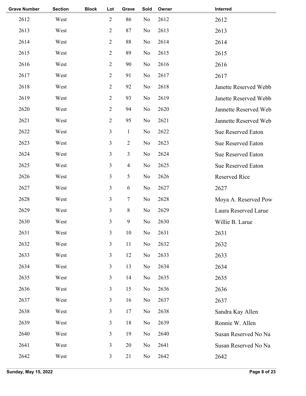| <b>Grave Number</b> | <b>Section</b> | <b>Block</b> | Lot            | Grave          | Sold           | Owner | Interred                  |
|---------------------|----------------|--------------|----------------|----------------|----------------|-------|---------------------------|
| 2612                | West           |              | $\overline{2}$ | 86             | No             | 2612  | 2612                      |
| 2613                | West           |              | $\overline{2}$ | 87             | No             | 2613  | 2613                      |
| 2614                | West           |              | $\overline{2}$ | 88             | No             | 2614  | 2614                      |
| 2615                | West           |              | $\overline{2}$ | 89             | No             | 2615  | 2615                      |
| 2616                | West           |              | $\overline{2}$ | 90             | No             | 2616  | 2616                      |
| 2617                | West           |              | $\overline{2}$ | 91             | No             | 2617  | 2617                      |
| 2618                | West           |              | $\overline{2}$ | 92             | No             | 2618  | Janette Reserved Webb     |
| 2619                | West           |              | $\overline{2}$ | 93             | No             | 2619  | Janette Reserved Webb     |
| 2620                | West           |              | $\overline{2}$ | 94             | No             | 2620  | Jannette Reserved Web     |
| 2621                | West           |              | $\overline{2}$ | 95             | No             | 2621  | Jannette Reserved Web     |
| 2622                | West           |              | 3              | $\mathbf{1}$   | No             | 2622  | <b>Sue Reserved Eaton</b> |
| 2623                | West           |              | 3              | $\overline{2}$ | No             | 2623  | <b>Sue Reserved Eaton</b> |
| 2624                | West           |              | 3              | 3              | No             | 2624  | Sue Reserved Eaton        |
| 2625                | West           |              | 3              | $\overline{4}$ | No             | 2625  | <b>Sue Reserved Eaton</b> |
| 2626                | West           |              | 3              | 5              | N <sub>0</sub> | 2626  | <b>Reserved Rice</b>      |
| 2627                | West           |              | 3              | 6              | No             | 2627  | 2627                      |
| 2628                | West           |              | 3              | $\tau$         | N <sub>0</sub> | 2628  | Moya A. Reserved Pow      |
| 2629                | West           |              | 3              | $8\,$          | No             | 2629  | Laura Reserved Larue      |
| 2630                | West           |              | 3              | 9              | No             | 2630  | Willie B. Larue           |
| 2631                | West           |              | 3              | 10             | No             | 2631  | 2631                      |
| 2632                | West           |              | $\mathfrak{Z}$ | 11             | No             | 2632  | 2632                      |
| 2633                | West           |              | $\mathfrak{Z}$ | 12             | No             | 2633  | 2633                      |
| 2634                | West           |              | $\mathfrak{Z}$ | 13             | No             | 2634  | 2634                      |
| 2635                | West           |              | 3              | 14             | No             | 2635  | 2635                      |
| 2636                | West           |              | $\mathfrak{Z}$ | 15             | No             | 2636  | 2636                      |
| 2637                | West           |              | $\mathfrak{Z}$ | 16             | No             | 2637  | 2637                      |
| 2638                | West           |              | $\mathfrak{Z}$ | 17             | No             | 2638  | Sandra Kay Allen          |
| 2639                | West           |              | 3              | 18             | No             | 2639  | Ronnie W. Allen           |
| 2640                | West           |              | $\mathfrak{Z}$ | 19             | No             | 2640  | Susan Reserved No Na      |
| 2641                | West           |              | $\mathfrak{Z}$ | 20             | No             | 2641  | Susan Reserved No Na      |
| 2642                | West           |              | $\mathfrak{Z}$ | 21             | No             | 2642  | 2642                      |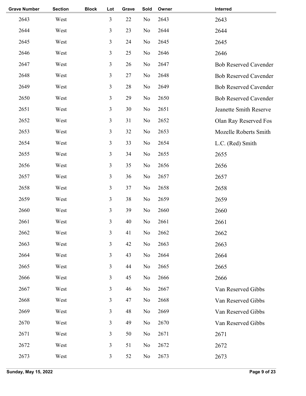| <b>Grave Number</b> | <b>Section</b> | <b>Block</b> | Lot            | Grave | Sold           | Owner | Interred                     |
|---------------------|----------------|--------------|----------------|-------|----------------|-------|------------------------------|
| 2643                | West           |              | 3              | 22    | No             | 2643  | 2643                         |
| 2644                | West           |              | 3              | 23    | No             | 2644  | 2644                         |
| 2645                | West           |              | 3              | 24    | No             | 2645  | 2645                         |
| 2646                | West           |              | 3              | 25    | No             | 2646  | 2646                         |
| 2647                | West           |              | 3              | 26    | No             | 2647  | <b>Bob Reserved Cavender</b> |
| 2648                | West           |              | 3              | 27    | N <sub>o</sub> | 2648  | <b>Bob Reserved Cavender</b> |
| 2649                | West           |              | $\mathfrak{Z}$ | 28    | No             | 2649  | <b>Bob Reserved Cavender</b> |
| 2650                | West           |              | 3              | 29    | No             | 2650  | <b>Bob Reserved Cavender</b> |
| 2651                | West           |              | 3              | 30    | No             | 2651  | Jeanette Smith Reserve       |
| 2652                | West           |              | 3              | 31    | No             | 2652  | Olan Ray Reserved Fos        |
| 2653                | West           |              | 3              | 32    | No             | 2653  | Mozelle Roberts Smith        |
| 2654                | West           |              | 3              | 33    | No             | 2654  | L.C. (Red) Smith             |
| 2655                | West           |              | 3              | 34    | No             | 2655  | 2655                         |
| 2656                | West           |              | 3              | 35    | No             | 2656  | 2656                         |
| 2657                | West           |              | 3              | 36    | No             | 2657  | 2657                         |
| 2658                | West           |              | 3              | 37    | No             | 2658  | 2658                         |
| 2659                | West           |              | 3              | 38    | No             | 2659  | 2659                         |
| 2660                | West           |              | 3              | 39    | No             | 2660  | 2660                         |
| 2661                | West           |              | 3              | 40    | No             | 2661  | 2661                         |
| 2662                | West           |              | 3              | 41    | No             | 2662  | 2662                         |
| 2663                | West           |              | 3              | 42    | No             | 2663  | 2663                         |
| 2664                | West           |              | 3              | 43    | No             | 2664  | 2664                         |
| 2665                | West           |              | 3              | 44    | No             | 2665  | 2665                         |
| 2666                | West           |              | 3              | 45    | No             | 2666  | 2666                         |
| 2667                | West           |              | 3              | 46    | No             | 2667  | Van Reserved Gibbs           |
| 2668                | West           |              | 3              | 47    | N <sub>o</sub> | 2668  | Van Reserved Gibbs           |
| 2669                | West           |              | $\mathfrak{Z}$ | 48    | No             | 2669  | Van Reserved Gibbs           |
| 2670                | West           |              | 3              | 49    | No             | 2670  | Van Reserved Gibbs           |
| 2671                | West           |              | 3              | 50    | No             | 2671  | 2671                         |
| 2672                | West           |              | $\mathfrak{Z}$ | 51    | No             | 2672  | 2672                         |
| 2673                | West           |              | 3              | 52    | No             | 2673  | 2673                         |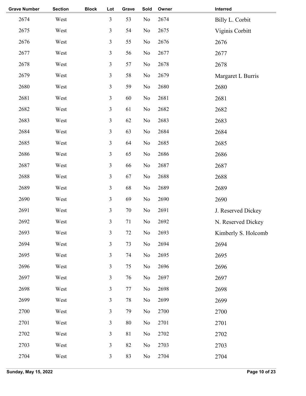| <b>Grave Number</b> | <b>Section</b> | <b>Block</b> | Lot            | Grave  | Sold           | Owner | Interred            |
|---------------------|----------------|--------------|----------------|--------|----------------|-------|---------------------|
| 2674                | West           |              | $\overline{3}$ | 53     | N <sub>o</sub> | 2674  | Billy L. Corbit     |
| 2675                | West           |              | 3              | 54     | No             | 2675  | Viginis Corbitt     |
| 2676                | West           |              | $\overline{3}$ | 55     | No             | 2676  | 2676                |
| 2677                | West           |              | $\mathfrak{Z}$ | 56     | N <sub>0</sub> | 2677  | 2677                |
| 2678                | West           |              | 3              | 57     | No             | 2678  | 2678                |
| 2679                | West           |              | $\overline{3}$ | 58     | N <sub>o</sub> | 2679  | Margaret L Burris   |
| 2680                | West           |              | $\overline{3}$ | 59     | N <sub>o</sub> | 2680  | 2680                |
| 2681                | West           |              | $\overline{3}$ | 60     | No             | 2681  | 2681                |
| 2682                | West           |              | 3              | 61     | No             | 2682  | 2682                |
| 2683                | West           |              | $\overline{3}$ | 62     | No             | 2683  | 2683                |
| 2684                | West           |              | $\overline{3}$ | 63     | No             | 2684  | 2684                |
| 2685                | West           |              | $\overline{3}$ | 64     | No             | 2685  | 2685                |
| 2686                | West           |              | 3              | 65     | No             | 2686  | 2686                |
| 2687                | West           |              | $\overline{3}$ | 66     | N <sub>o</sub> | 2687  | 2687                |
| 2688                | West           |              | $\overline{3}$ | 67     | N <sub>o</sub> | 2688  | 2688                |
| 2689                | West           |              | $\overline{3}$ | 68     | No             | 2689  | 2689                |
| 2690                | West           |              | 3              | 69     | N <sub>o</sub> | 2690  | 2690                |
| 2691                | West           |              | $\overline{3}$ | 70     | N <sub>0</sub> | 2691  | J. Reserved Dickey  |
| 2692                | West           |              | $\mathfrak{Z}$ | 71     | No             | 2692  | N. Reserved Dickey  |
| 2693                | West           |              | 3              | $72\,$ | No             | 2693  | Kimberly S. Holcomb |
| 2694                | West           |              | $\overline{3}$ | 73     | No             | 2694  | 2694                |
| 2695                | West           |              | $\overline{3}$ | 74     | No             | 2695  | 2695                |
| 2696                | West           |              | $\overline{3}$ | 75     | No             | 2696  | 2696                |
| 2697                | West           |              | $\overline{3}$ | 76     | No             | 2697  | 2697                |
| 2698                | West           |              | 3              | 77     | No             | 2698  | 2698                |
| 2699                | West           |              | $\overline{3}$ | 78     | No             | 2699  | 2699                |
| 2700                | West           |              | $\overline{3}$ | 79     | No             | 2700  | 2700                |
| 2701                | West           |              | $\overline{3}$ | 80     | No             | 2701  | 2701                |
| 2702                | West           |              | 3              | 81     | N <sub>0</sub> | 2702  | 2702                |
| 2703                | West           |              | $\overline{3}$ | 82     | No             | 2703  | 2703                |
| 2704                | West           |              | $\mathfrak{Z}$ | 83     | N <sub>0</sub> | 2704  | 2704                |
|                     |                |              |                |        |                |       |                     |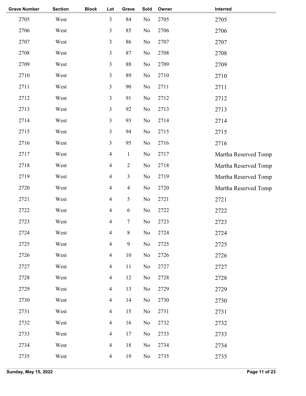| <b>Grave Number</b> | <b>Section</b> | <b>Block</b> | Lot                      | Grave            | Sold     | Owner | Interred             |
|---------------------|----------------|--------------|--------------------------|------------------|----------|-------|----------------------|
| 2705                | West           |              | $\mathfrak{Z}$           | 84               | No       | 2705  | 2705                 |
| 2706                | West           |              | 3                        | 85               | No       | 2706  | 2706                 |
| 2707                | West           |              | $\mathfrak{Z}$           | 86               | No       | 2707  | 2707                 |
| 2708                | West           |              | 3                        | 87               | No       | 2708  | 2708                 |
| 2709                | West           |              | $\mathfrak{Z}$           | 88               | No       | 2709  | 2709                 |
| 2710                | West           |              | $\mathfrak{Z}$           | 89               | No       | 2710  | 2710                 |
| 2711                | West           |              | $\mathfrak{Z}$           | 90               | No       | 2711  | 2711                 |
| 2712                | West           |              | 3                        | 91               | No       | 2712  | 2712                 |
| 2713                | West           |              | $\mathfrak{Z}$           | 92               | No       | 2713  | 2713                 |
| 2714                | West           |              | $\mathfrak{Z}$           | 93               | $\rm No$ | 2714  | 2714                 |
| 2715                | West           |              | $\mathfrak{Z}$           | 94               | No       | 2715  | 2715                 |
| 2716                | West           |              | $\mathfrak{Z}$           | 95               | No       | 2716  | 2716                 |
| 2717                | West           |              | $\overline{4}$           | $\mathbf{1}$     | No       | 2717  | Martha Reserved Tomp |
| 2718                | West           |              | $\overline{\mathbf{4}}$  | $\overline{2}$   | No       | 2718  | Martha Reserved Tomp |
| 2719                | West           |              | $\overline{\mathcal{A}}$ | $\overline{3}$   | No       | 2719  | Martha Reserved Tomp |
| 2720                | West           |              | $\overline{\mathcal{A}}$ | $\overline{4}$   | No       | 2720  | Martha Reserved Tomp |
| 2721                | West           |              | $\overline{\mathbf{4}}$  | 5                | No       | 2721  | 2721                 |
| 2722                | West           |              | $\overline{\mathbf{4}}$  | $\sqrt{6}$       | No       | 2722  | 2722                 |
| 2723                | West           |              | $\overline{\mathbf{4}}$  | $\boldsymbol{7}$ | No       | 2723  | 2723                 |
| 2724                | West           |              | $\overline{\mathbf{4}}$  | $8\,$            | $\rm No$ | 2724  | 2724                 |
| 2725                | West           |              | $\overline{4}$           | $\mathfrak{g}$   | No       | 2725  | 2725                 |
| 2726                | West           |              | $\overline{4}$           | $10\,$           | No       | 2726  | 2726                 |
| 2727                | West           |              | $\overline{4}$           | 11               | No       | 2727  | 2727                 |
| 2728                | West           |              | $\overline{4}$           | 12               | No       | 2728  | 2728                 |
| 2729                | West           |              | $\overline{4}$           | 13               | No       | 2729  | 2729                 |
| 2730                | West           |              | $\overline{\mathbf{4}}$  | 14               | No       | 2730  | 2730                 |
| 2731                | West           |              | $\overline{4}$           | 15               | No       | 2731  | 2731                 |
| 2732                | West           |              | $\overline{4}$           | 16               | No       | 2732  | 2732                 |
| 2733                | West           |              | $\overline{4}$           | 17               | No       | 2733  | 2733                 |
| 2734                | West           |              | $\overline{\mathbf{4}}$  | 18               | No       | 2734  | 2734                 |
| 2735                | West           |              | $\overline{4}$           | 19               | No       | 2735  | 2735                 |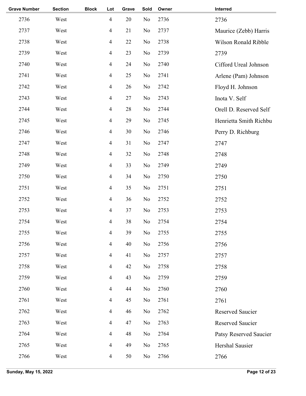| <b>Grave Number</b> | <b>Section</b> | <b>Block</b> | Lot            | Grave | Sold           | Owner | Interred               |
|---------------------|----------------|--------------|----------------|-------|----------------|-------|------------------------|
| 2736                | West           |              | $\overline{4}$ | 20    | N <sub>o</sub> | 2736  | 2736                   |
| 2737                | West           |              | $\overline{4}$ | 21    | No             | 2737  | Maurice (Zebb) Harris  |
| 2738                | West           |              | $\overline{4}$ | 22    | No             | 2738  | Wilson Ronald Ribble   |
| 2739                | West           |              | $\overline{4}$ | 23    | No             | 2739  | 2739                   |
| 2740                | West           |              | $\overline{4}$ | 24    | No             | 2740  | Cifford Ureal Johnson  |
| 2741                | West           |              | $\overline{4}$ | 25    | No             | 2741  | Arlene (Pam) Johnson   |
| 2742                | West           |              | $\overline{4}$ | 26    | No             | 2742  | Floyd H. Johnson       |
| 2743                | West           |              | $\overline{4}$ | 27    | N <sub>o</sub> | 2743  | Inota V. Self          |
| 2744                | West           |              | $\overline{4}$ | 28    | N <sub>o</sub> | 2744  | Orell D. Reserved Self |
| 2745                | West           |              | $\overline{4}$ | 29    | N <sub>o</sub> | 2745  | Henrietta Smith Richbu |
| 2746                | West           |              | $\overline{4}$ | 30    | No             | 2746  | Perry D. Richburg      |
| 2747                | West           |              | $\overline{4}$ | 31    | No             | 2747  | 2747                   |
| 2748                | West           |              | $\overline{4}$ | 32    | No             | 2748  | 2748                   |
| 2749                | West           |              | $\overline{4}$ | 33    | No             | 2749  | 2749                   |
| 2750                | West           |              | $\overline{4}$ | 34    | No             | 2750  | 2750                   |
| 2751                | West           |              | $\overline{4}$ | 35    | No             | 2751  | 2751                   |
| 2752                | West           |              | $\overline{4}$ | 36    | No             | 2752  | 2752                   |
| 2753                | West           |              | $\overline{4}$ | 37    | No             | 2753  | 2753                   |
| 2754                | West           |              | 4              | 38    | No             | 2754  | 2754                   |
| 2755                | West           |              | $\overline{4}$ | 39    | $\rm No$       | 2755  | 2755                   |
| 2756                | West           |              | $\overline{4}$ | 40    | N <sub>o</sub> | 2756  | 2756                   |
| 2757                | West           |              | $\overline{4}$ | 41    | No             | 2757  | 2757                   |
| 2758                | West           |              | $\overline{4}$ | 42    | No             | 2758  | 2758                   |
| 2759                | West           |              | $\overline{4}$ | 43    | No             | 2759  | 2759                   |
| 2760                | West           |              | $\overline{4}$ | 44    | N <sub>o</sub> | 2760  | 2760                   |
| 2761                | West           |              | $\overline{4}$ | 45    | No             | 2761  | 2761                   |
| 2762                | West           |              | $\overline{4}$ | 46    | No             | 2762  | Reserved Saucier       |
| 2763                | West           |              | $\overline{4}$ | 47    | No             | 2763  | Reserved Saucier       |
| 2764                | West           |              | $\overline{4}$ | 48    | No             | 2764  | Patsy Reserved Saucier |
| 2765                | West           |              | $\overline{4}$ | 49    | No             | 2765  | Hershal Sausier        |
| 2766                | West           |              | $\overline{4}$ | 50    | N <sub>0</sub> | 2766  | 2766                   |
|                     |                |              |                |       |                |       |                        |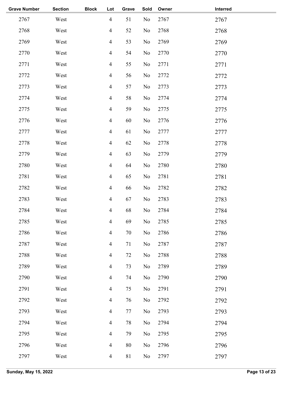| <b>Grave Number</b> | <b>Section</b> | <b>Block</b> | Lot            | Grave | Sold | Owner | Interred |  |
|---------------------|----------------|--------------|----------------|-------|------|-------|----------|--|
| 2767                | West           |              | $\overline{4}$ | 51    | No   | 2767  | 2767     |  |
| 2768                | West           |              | $\overline{4}$ | 52    | No   | 2768  | 2768     |  |
| 2769                | West           |              | $\overline{4}$ | 53    | No   | 2769  | 2769     |  |
| 2770                | West           |              | $\overline{4}$ | 54    | No   | 2770  | 2770     |  |
| 2771                | West           |              | $\overline{4}$ | 55    | No   | 2771  | 2771     |  |
| 2772                | West           |              | $\overline{4}$ | 56    | No   | 2772  | 2772     |  |
| 2773                | West           |              | $\overline{4}$ | 57    | No   | 2773  | 2773     |  |
| 2774                | West           |              | $\overline{4}$ | 58    | No   | 2774  | 2774     |  |
| 2775                | West           |              | $\overline{4}$ | 59    | No   | 2775  | 2775     |  |
| 2776                | West           |              | $\overline{4}$ | 60    | No   | 2776  | 2776     |  |
| 2777                | West           |              | $\overline{4}$ | 61    | No   | 2777  | 2777     |  |
| 2778                | West           |              | $\overline{4}$ | 62    | No   | 2778  | 2778     |  |
| 2779                | West           |              | $\overline{4}$ | 63    | No   | 2779  | 2779     |  |
| 2780                | West           |              | $\overline{4}$ | 64    | No   | 2780  | 2780     |  |
| 2781                | West           |              | $\overline{4}$ | 65    | No   | 2781  | 2781     |  |
| 2782                | West           |              | $\overline{4}$ | 66    | No   | 2782  | 2782     |  |
| 2783                | West           |              | $\overline{4}$ | 67    | No   | 2783  | 2783     |  |
| 2784                | West           |              | $\overline{4}$ | 68    | No   | 2784  | 2784     |  |
| 2785                | West           |              | $\overline{4}$ | 69    | No   | 2785  | 2785     |  |
| 2786                | West           |              | $\overline{4}$ | 70    | No   | 2786  | 2786     |  |
| 2787                | West           |              | $\overline{4}$ | 71    | No   | 2787  | 2787     |  |
| 2788                | West           |              | $\overline{4}$ | 72    | No   | 2788  | 2788     |  |
| 2789                | West           |              | $\overline{4}$ | 73    | No   | 2789  | 2789     |  |
| 2790                | West           |              | $\overline{4}$ | 74    | No   | 2790  | 2790     |  |
| 2791                | West           |              | $\overline{4}$ | 75    | No   | 2791  | 2791     |  |
| 2792                | West           |              | $\overline{4}$ | 76    | No   | 2792  | 2792     |  |
| 2793                | West           |              | $\overline{4}$ | 77    | No   | 2793  | 2793     |  |
| 2794                | West           |              | $\overline{4}$ | 78    | No   | 2794  | 2794     |  |
| 2795                | West           |              | $\overline{4}$ | 79    | No   | 2795  | 2795     |  |
| 2796                | West           |              | $\overline{4}$ | 80    | No   | 2796  | 2796     |  |
| 2797                | West           |              | $\overline{4}$ | 81    | No   | 2797  | 2797     |  |
|                     |                |              |                |       |      |       |          |  |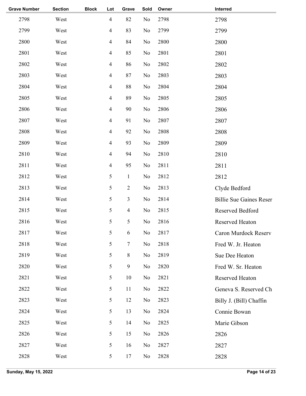| <b>Grave Number</b> | <b>Section</b> | <b>Block</b> | Lot            | Grave            | Sold           | Owner | Interred                       |
|---------------------|----------------|--------------|----------------|------------------|----------------|-------|--------------------------------|
| 2798                | West           |              | $\overline{4}$ | 82               | No             | 2798  | 2798                           |
| 2799                | West           |              | $\overline{4}$ | 83               | No             | 2799  | 2799                           |
| 2800                | West           |              | $\overline{4}$ | 84               | No             | 2800  | 2800                           |
| 2801                | West           |              | $\overline{4}$ | 85               | No             | 2801  | 2801                           |
| 2802                | West           |              | $\overline{4}$ | 86               | No             | 2802  | 2802                           |
| 2803                | West           |              | $\overline{4}$ | 87               | No             | 2803  | 2803                           |
| 2804                | West           |              | $\overline{4}$ | 88               | No             | 2804  | 2804                           |
| 2805                | West           |              | $\overline{4}$ | 89               | No             | 2805  | 2805                           |
| 2806                | West           |              | $\overline{4}$ | 90               | No             | 2806  | 2806                           |
| 2807                | West           |              | $\overline{4}$ | 91               | No             | 2807  | 2807                           |
| 2808                | West           |              | $\overline{4}$ | 92               | No             | 2808  | 2808                           |
| 2809                | West           |              | $\overline{4}$ | 93               | No             | 2809  | 2809                           |
| 2810                | West           |              | $\overline{4}$ | 94               | No             | 2810  | 2810                           |
| 2811                | West           |              | $\overline{4}$ | 95               | No             | 2811  | 2811                           |
| 2812                | West           |              | 5              | $\mathbf{1}$     | No             | 2812  | 2812                           |
| 2813                | West           |              | 5              | $\overline{2}$   | No             | 2813  | Clyde Bedford                  |
| 2814                | West           |              | 5              | $\overline{3}$   | No             | 2814  | <b>Billie Sue Gaines Reser</b> |
| 2815                | West           |              | 5              | $\overline{4}$   | N <sub>0</sub> | 2815  | Reserved Bedford               |
| 2816                | West           |              | 5              | 5                | No             | 2816  | Reserved Heaton                |
| 2817                | West           |              | 5              | 6                | No             | 2817  | Caron Murdock Reserv           |
| 2818                | West           |              | 5              | $\tau$           | No             | 2818  | Fred W. Jr. Heaton             |
| 2819                | West           |              | 5              | $8\,$            | No             | 2819  | Sue Dee Heaton                 |
| 2820                | West           |              | 5              | $\boldsymbol{9}$ | N <sub>0</sub> | 2820  | Fred W. Sr. Heaton             |
| 2821                | West           |              | 5              | 10               | No             | 2821  | Reserved Heaton                |
| 2822                | West           |              | 5              | 11               | No             | 2822  | Geneva S. Reserved Ch          |
| 2823                | West           |              | 5              | 12               | No             | 2823  | Billy J. (Bill) Chaffin        |
| 2824                | West           |              | 5              | 13               | No             | 2824  | Connie Bowan                   |
| 2825                | West           |              | 5              | 14               | No             | 2825  | Marie Gibson                   |
| 2826                | West           |              | 5              | 15               | No             | 2826  | 2826                           |
| 2827                | West           |              | 5              | 16               | No             | 2827  | 2827                           |
| 2828                | West           |              | 5              | 17               | No             | 2828  | 2828                           |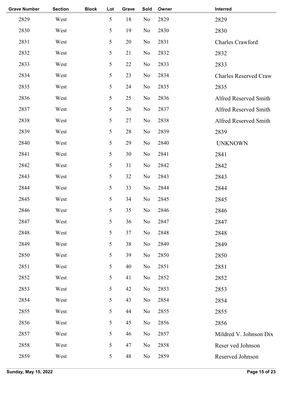| <b>Grave Number</b> | <b>Section</b> | <b>Block</b> | Lot | Grave | Sold | Owner | Interred                     |
|---------------------|----------------|--------------|-----|-------|------|-------|------------------------------|
| 2829                | West           |              | 5   | 18    | No   | 2829  | 2829                         |
| 2830                | West           |              | 5   | 19    | No   | 2830  | 2830                         |
| 2831                | West           |              | 5   | 20    | No   | 2831  | Charles Crawford             |
| 2832                | West           |              | 5   | 21    | No   | 2832  | 2832                         |
| 2833                | West           |              | 5   | 22    | No   | 2833  | 2833                         |
| 2834                | West           |              | 5   | 23    | No   | 2834  | <b>Charles Reserved Craw</b> |
| 2835                | West           |              | 5   | 24    | No   | 2835  | 2835                         |
| 2836                | West           |              | 5   | 25    | No   | 2836  | Alfred Reserved Smith        |
| 2837                | West           |              | 5   | 26    | No   | 2837  | Alfred Reserved Smith        |
| 2838                | West           |              | 5   | 27    | No   | 2838  | Alfred Reserved Smith        |
| 2839                | West           |              | 5   | 28    | No   | 2839  | 2839                         |
| 2840                | West           |              | 5   | 29    | No   | 2840  | <b>UNKNOWN</b>               |
| 2841                | West           |              | 5   | 30    | No   | 2841  | 2841                         |
| 2842                | West           |              | 5   | 31    | No   | 2842  | 2842                         |
| 2843                | West           |              | 5   | 32    | No   | 2843  | 2843                         |
| 2844                | West           |              | 5   | 33    | No   | 2844  | 2844                         |
| 2845                | West           |              | 5   | 34    | No   | 2845  | 2845                         |
| 2846                | West           |              | 5   | 35    | No   | 2846  | 2846                         |
| 2847                | West           |              | 5   | 36    | No   | 2847  | 2847                         |
| 2848                | West           |              | 5   | 37    | No   | 2848  | 2848                         |
| 2849                | West           |              | 5   | 38    | No   | 2849  | 2849                         |
| 2850                | West           |              | 5   | 39    | No   | 2850  | 2850                         |
| 2851                | West           |              | 5   | 40    | No   | 2851  | 2851                         |
| 2852                | West           |              | 5   | 41    | No   | 2852  | 2852                         |
| 2853                | West           |              | 5   | 42    | No   | 2853  | 2853                         |
| 2854                | West           |              | 5   | 43    | No   | 2854  | 2854                         |
| 2855                | West           |              | 5   | 44    | No   | 2855  | 2855                         |
| 2856                | West           |              | 5   | 45    | No   | 2856  | 2856                         |
| 2857                | West           |              | 5   | 46    | No   | 2857  | Mildred V. Johnson Dix       |
| 2858                | West           |              | 5   | 47    | No   | 2858  | Reser ved Johnson            |
| 2859                | West           |              | 5   | 48    | No   | 2859  | Reserved Johnson             |
|                     |                |              |     |       |      |       |                              |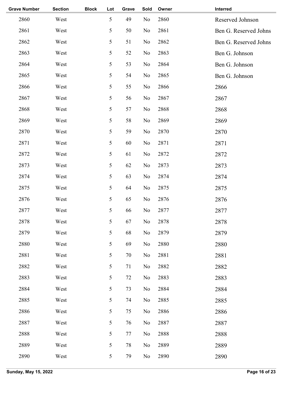| <b>Grave Number</b> | <b>Section</b> | <b>Block</b> | Lot | Grave | Sold | Owner | Interred              |
|---------------------|----------------|--------------|-----|-------|------|-------|-----------------------|
| 2860                | West           |              | 5   | 49    | No   | 2860  | Reserved Johnson      |
| 2861                | West           |              | 5   | 50    | No   | 2861  | Ben G. Reserved Johns |
| 2862                | West           |              | 5   | 51    | No   | 2862  | Ben G. Reserved Johns |
| 2863                | West           |              | 5   | 52    | No   | 2863  | Ben G. Johnson        |
| 2864                | West           |              | 5   | 53    | No   | 2864  | Ben G. Johnson        |
| 2865                | West           |              | 5   | 54    | No   | 2865  | Ben G. Johnson        |
| 2866                | West           |              | 5   | 55    | No   | 2866  | 2866                  |
| 2867                | West           |              | 5   | 56    | No   | 2867  | 2867                  |
| 2868                | West           |              | 5   | 57    | No   | 2868  | 2868                  |
| 2869                | West           |              | 5   | 58    | No   | 2869  | 2869                  |
| 2870                | West           |              | 5   | 59    | No   | 2870  | 2870                  |
| 2871                | West           |              | 5   | 60    | No   | 2871  | 2871                  |
| 2872                | West           |              | 5   | 61    | No   | 2872  | 2872                  |
| 2873                | West           |              | 5   | 62    | No   | 2873  | 2873                  |
| 2874                | West           |              | 5   | 63    | No   | 2874  | 2874                  |
| 2875                | West           |              | 5   | 64    | No   | 2875  | 2875                  |
| 2876                | West           |              | 5   | 65    | No   | 2876  | 2876                  |
| 2877                | West           |              | 5   | 66    | No   | 2877  | 2877                  |
| 2878                | West           |              | 5   | 67    | No   | 2878  | 2878                  |
| 2879                | West           |              | 5   | 68    | No   | 2879  | 2879                  |
| 2880                | West           |              | 5   | 69    | No   | 2880  | 2880                  |
| 2881                | West           |              | 5   | 70    | No   | 2881  | 2881                  |
| 2882                | West           |              | 5   | 71    | No   | 2882  | 2882                  |
| 2883                | West           |              | 5   | 72    | No   | 2883  | 2883                  |
| 2884                | West           |              | 5   | 73    | No   | 2884  | 2884                  |
| 2885                | West           |              | 5   | 74    | No   | 2885  | 2885                  |
| 2886                | West           |              | 5   | 75    | No   | 2886  | 2886                  |
| 2887                | West           |              | 5   | 76    | No   | 2887  | 2887                  |
| 2888                | West           |              | 5   | 77    | No   | 2888  | 2888                  |
| 2889                | West           |              | 5   | 78    | No   | 2889  | 2889                  |
| 2890                | West           |              | 5   | 79    | No   | 2890  | 2890                  |
|                     |                |              |     |       |      |       |                       |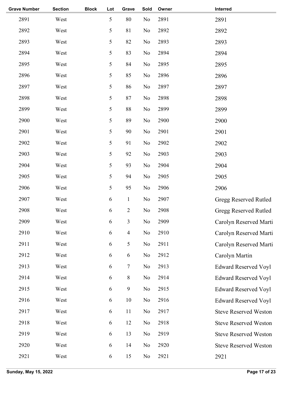| <b>Grave Number</b> | <b>Section</b> | <b>Block</b> | Lot        | Grave          | Sold           | Owner | Interred                     |
|---------------------|----------------|--------------|------------|----------------|----------------|-------|------------------------------|
| 2891                | West           |              | 5          | 80             | N <sub>o</sub> | 2891  | 2891                         |
| 2892                | West           |              | 5          | 81             | N <sub>o</sub> | 2892  | 2892                         |
| 2893                | West           |              | 5          | 82             | No             | 2893  | 2893                         |
| 2894                | West           |              | 5          | 83             | N <sub>o</sub> | 2894  | 2894                         |
| 2895                | West           |              | 5          | 84             | No             | 2895  | 2895                         |
| 2896                | West           |              | 5          | 85             | N <sub>o</sub> | 2896  | 2896                         |
| 2897                | West           |              | 5          | 86             | N <sub>o</sub> | 2897  | 2897                         |
| 2898                | West           |              | 5          | 87             | N <sub>o</sub> | 2898  | 2898                         |
| 2899                | West           |              | 5          | 88             | N <sub>o</sub> | 2899  | 2899                         |
| 2900                | West           |              | 5          | 89             | N <sub>o</sub> | 2900  | 2900                         |
| 2901                | West           |              | 5          | 90             | No             | 2901  | 2901                         |
| 2902                | West           |              | 5          | 91             | N <sub>o</sub> | 2902  | 2902                         |
| 2903                | West           |              | 5          | 92             | N <sub>o</sub> | 2903  | 2903                         |
| 2904                | West           |              | 5          | 93             | N <sub>o</sub> | 2904  | 2904                         |
| 2905                | West           |              | 5          | 94             | N <sub>o</sub> | 2905  | 2905                         |
| 2906                | West           |              | 5          | 95             | N <sub>o</sub> | 2906  | 2906                         |
| 2907                | West           |              | 6          | $\mathbf{1}$   | No             | 2907  | Gregg Reserved Rutled        |
| 2908                | West           |              | $\sqrt{6}$ | $\mathbf{2}$   | N <sub>0</sub> | 2908  | <b>Gregg Reserved Rutled</b> |
| 2909                | West           |              | 6          | 3              | No             | 2909  | Carolyn Reserved Marti       |
| 2910                | West           |              | 6          | $\overline{4}$ | No             | 2910  | Carolyn Reserved Marti       |
| 2911                | West           |              | 6          | 5              | No             | 2911  | Carolyn Reserved Marti       |
| 2912                | West           |              | 6          | $\sqrt{6}$     | N <sub>0</sub> | 2912  | Carolyn Martin               |
| 2913                | West           |              | 6          | $\overline{7}$ | N <sub>0</sub> | 2913  | <b>Edward Reserved Voyl</b>  |
| 2914                | West           |              | 6          | $8\,$          | N <sub>o</sub> | 2914  | <b>Edward Reserved Voyl</b>  |
| 2915                | West           |              | 6          | 9              | N <sub>0</sub> | 2915  | <b>Edward Reserved Voyl</b>  |
| 2916                | West           |              | 6          | 10             | N <sub>o</sub> | 2916  | <b>Edward Reserved Voyl</b>  |
| 2917                | West           |              | 6          | 11             | N <sub>0</sub> | 2917  | <b>Steve Reserved Weston</b> |
| 2918                | West           |              | 6          | 12             | N <sub>o</sub> | 2918  | <b>Steve Reserved Weston</b> |
| 2919                | West           |              | 6          | 13             | N <sub>o</sub> | 2919  | <b>Steve Reserved Weston</b> |
| 2920                | West           |              | 6          | 14             | N <sub>o</sub> | 2920  | <b>Steve Reserved Weston</b> |
| 2921                | West           |              | 6          | 15             | No             | 2921  | 2921                         |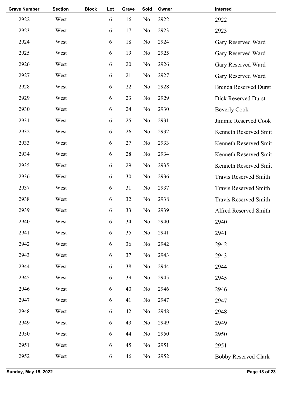| <b>Grave Number</b> | <b>Section</b> | <b>Block</b> | Lot | Grave | Sold           | Owner | Interred                     |
|---------------------|----------------|--------------|-----|-------|----------------|-------|------------------------------|
| 2922                | West           |              | 6   | 16    | N <sub>o</sub> | 2922  | 2922                         |
| 2923                | West           |              | 6   | 17    | N <sub>o</sub> | 2923  | 2923                         |
| 2924                | West           |              | 6   | 18    | N <sub>o</sub> | 2924  | Gary Reserved Ward           |
| 2925                | West           |              | 6   | 19    | N <sub>o</sub> | 2925  | Gary Reserved Ward           |
| 2926                | West           |              | 6   | 20    | N <sub>o</sub> | 2926  | Gary Reserved Ward           |
| 2927                | West           |              | 6   | 21    | N <sub>o</sub> | 2927  | Gary Reserved Ward           |
| 2928                | West           |              | 6   | 22    | N <sub>o</sub> | 2928  | <b>Brenda Reserved Durst</b> |
| 2929                | West           |              | 6   | 23    | No             | 2929  | Dick Reserved Durst          |
| 2930                | West           |              | 6   | 24    | N <sub>o</sub> | 2930  | <b>Beverly Cook</b>          |
| 2931                | West           |              | 6   | 25    | N <sub>o</sub> | 2931  | Jimmie Reserved Cook         |
| 2932                | West           |              | 6   | 26    | N <sub>o</sub> | 2932  | Kenneth Reserved Smit        |
| 2933                | West           |              | 6   | 27    | N <sub>o</sub> | 2933  | Kenneth Reserved Smit        |
| 2934                | West           |              | 6   | 28    | N <sub>o</sub> | 2934  | Kenneth Reserved Smit        |
| 2935                | West           |              | 6   | 29    | N <sub>o</sub> | 2935  | Kenneth Reserved Smit        |
| 2936                | West           |              | 6   | 30    | N <sub>o</sub> | 2936  | <b>Travis Reserved Smith</b> |
| 2937                | West           |              | 6   | 31    | N <sub>o</sub> | 2937  | <b>Travis Reserved Smith</b> |
| 2938                | West           |              | 6   | 32    | N <sub>o</sub> | 2938  | <b>Travis Reserved Smith</b> |
| 2939                | West           |              | 6   | 33    | N <sub>o</sub> | 2939  | Alfred Reserved Smith        |
| 2940                | West           |              | 6   | 34    | No             | 2940  | 2940                         |
| 2941                | West           |              | 6   | 35    | $\rm No$       | 2941  | 2941                         |
| 2942                | West           |              | 6   | 36    | No             | 2942  | 2942                         |
| 2943                | West           |              | 6   | 37    | No             | 2943  | 2943                         |
| 2944                | West           |              | 6   | 38    | No             | 2944  | 2944                         |
| 2945                | West           |              | 6   | 39    | No             | 2945  | 2945                         |
| 2946                | West           |              | 6   | 40    | No             | 2946  | 2946                         |
| 2947                | West           |              | 6   | 41    | No             | 2947  | 2947                         |
| 2948                | West           |              | 6   | 42    | No             | 2948  | 2948                         |
| 2949                | West           |              | 6   | 43    | No             | 2949  | 2949                         |
| 2950                | West           |              | 6   | 44    | No             | 2950  | 2950                         |
| 2951                | West           |              | 6   | 45    | N <sub>o</sub> | 2951  | 2951                         |
| 2952                | West           |              | 6   | 46    | N <sub>0</sub> | 2952  | <b>Bobby Reserved Clark</b>  |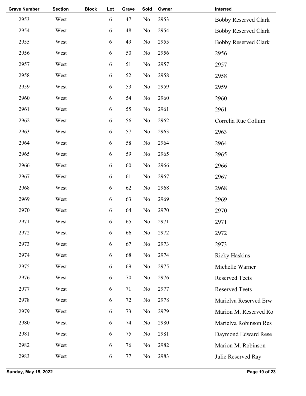| <b>Grave Number</b> | <b>Section</b> | <b>Block</b> | Lot        | Grave | Sold           | Owner | Interred                    |
|---------------------|----------------|--------------|------------|-------|----------------|-------|-----------------------------|
| 2953                | West           |              | 6          | 47    | No             | 2953  | <b>Bobby Reserved Clark</b> |
| 2954                | West           |              | $\sqrt{6}$ | 48    | No             | 2954  | <b>Bobby Reserved Clark</b> |
| 2955                | West           |              | 6          | 49    | No             | 2955  | <b>Bobby Reserved Clark</b> |
| 2956                | West           |              | 6          | 50    | No             | 2956  | 2956                        |
| 2957                | West           |              | 6          | 51    | No             | 2957  | 2957                        |
| 2958                | West           |              | 6          | 52    | No             | 2958  | 2958                        |
| 2959                | West           |              | 6          | 53    | No             | 2959  | 2959                        |
| 2960                | West           |              | 6          | 54    | No             | 2960  | 2960                        |
| 2961                | West           |              | 6          | 55    | No             | 2961  | 2961                        |
| 2962                | West           |              | 6          | 56    | No             | 2962  | Correlia Rue Collum         |
| 2963                | West           |              | $\sqrt{6}$ | 57    | No             | 2963  | 2963                        |
| 2964                | West           |              | 6          | 58    | No             | 2964  | 2964                        |
| 2965                | West           |              | 6          | 59    | No             | 2965  | 2965                        |
| 2966                | West           |              | 6          | 60    | No             | 2966  | 2966                        |
| 2967                | West           |              | 6          | 61    | No             | 2967  | 2967                        |
| 2968                | West           |              | 6          | 62    | No             | 2968  | 2968                        |
| 2969                | West           |              | 6          | 63    | No             | 2969  | 2969                        |
| 2970                | West           |              | 6          | 64    | N <sub>o</sub> | 2970  | 2970                        |
| 2971                | West           |              | 6          | 65    | No             | 2971  | 2971                        |
| 2972                | West           |              | 6          | 66    | No             | 2972  | 2972                        |
| 2973                | West           |              | $\sqrt{6}$ | 67    | No             | 2973  | 2973                        |
| 2974                | West           |              | 6          | 68    | N <sub>o</sub> | 2974  | <b>Ricky Haskins</b>        |
| 2975                | West           |              | 6          | 69    | No             | 2975  | Michelle Warner             |
| 2976                | West           |              | 6          | 70    | N <sub>o</sub> | 2976  | <b>Reserved Teets</b>       |
| 2977                | West           |              | 6          | 71    | N <sub>o</sub> | 2977  | <b>Reserved Teets</b>       |
| 2978                | West           |              | 6          | 72    | No             | 2978  | Marielva Reserved Erw       |
| 2979                | West           |              | 6          | 73    | No             | 2979  | Marion M. Reserved Ro       |
| 2980                | West           |              | 6          | 74    | No             | 2980  | Marielva Robinson Res       |
| 2981                | West           |              | 6          | 75    | No             | 2981  | Daymond Edward Rese         |
| 2982                | West           |              | 6          | 76    | No             | 2982  | Marion M. Robinson          |
| 2983                | West           |              | 6          | 77    | No             | 2983  | Julie Reserved Ray          |
|                     |                |              |            |       |                |       |                             |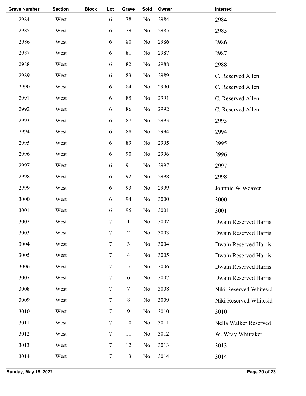| <b>Grave Number</b> | <b>Section</b> | <b>Block</b> | Lot            | Grave          | Sold           | Owner | Interred               |
|---------------------|----------------|--------------|----------------|----------------|----------------|-------|------------------------|
| 2984                | West           |              | 6              | 78             | N <sub>o</sub> | 2984  | 2984                   |
| 2985                | West           |              | 6              | 79             | No             | 2985  | 2985                   |
| 2986                | West           |              | 6              | 80             | No             | 2986  | 2986                   |
| 2987                | West           |              | 6              | 81             | No             | 2987  | 2987                   |
| 2988                | West           |              | 6              | 82             | No             | 2988  | 2988                   |
| 2989                | West           |              | 6              | 83             | No             | 2989  | C. Reserved Allen      |
| 2990                | West           |              | 6              | 84             | No             | 2990  | C. Reserved Allen      |
| 2991                | West           |              | 6              | 85             | No             | 2991  | C. Reserved Allen      |
| 2992                | West           |              | 6              | 86             | No             | 2992  | C. Reserved Allen      |
| 2993                | West           |              | 6              | 87             | No             | 2993  | 2993                   |
| 2994                | West           |              | 6              | 88             | No             | 2994  | 2994                   |
| 2995                | West           |              | 6              | 89             | No             | 2995  | 2995                   |
| 2996                | West           |              | 6              | 90             | No             | 2996  | 2996                   |
| 2997                | West           |              | 6              | 91             | No             | 2997  | 2997                   |
| 2998                | West           |              | 6              | 92             | No             | 2998  | 2998                   |
| 2999                | West           |              | 6              | 93             | No             | 2999  | Johnnie W Weaver       |
| 3000                | West           |              | 6              | 94             | No             | 3000  | 3000                   |
| 3001                | West           |              | 6              | 95             | No             | 3001  | 3001                   |
| 3002                | West           |              | $\tau$         | $\mathbf{1}$   | N <sub>o</sub> | 3002  | Dwain Reserved Harris  |
| 3003                | West           |              | 7              | $\overline{c}$ | No             | 3003  | Dwain Reserved Harris  |
| 3004                | West           |              | 7              | 3              | N <sub>o</sub> | 3004  | Dwain Reserved Harris  |
| 3005                | West           |              | $\tau$         | $\overline{4}$ | No             | 3005  | Dwain Reserved Harris  |
| 3006                | West           |              | $\tau$         | 5              | N <sub>0</sub> | 3006  | Dwain Reserved Harris  |
| 3007                | West           |              | $\tau$         | 6              | N <sub>0</sub> | 3007  | Dwain Reserved Harris  |
| 3008                | West           |              | 7              | $\tau$         | N <sub>o</sub> | 3008  | Niki Reserved Whitesid |
| 3009                | West           |              | $\tau$         | 8              | No             | 3009  | Niki Reserved Whitesid |
| 3010                | West           |              | $\tau$         | 9              | N <sub>0</sub> | 3010  | 3010                   |
| 3011                | West           |              | $\tau$         | 10             | N <sub>0</sub> | 3011  | Nella Walker Reserved  |
| 3012                | West           |              | $\overline{7}$ | 11             | No             | 3012  | W. Wray Whittaker      |
| 3013                | West           |              | $\tau$         | 12             | No             | 3013  | 3013                   |
| 3014                | West           |              | $\tau$         | 13             | No             | 3014  | 3014                   |
|                     |                |              |                |                |                |       |                        |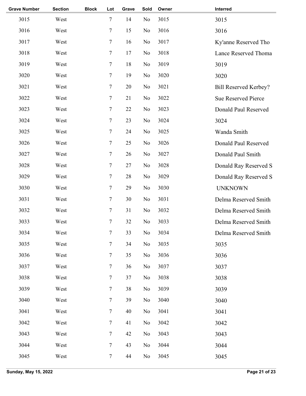| <b>Grave Number</b> | <b>Section</b> | <b>Block</b> | Lot            | Grave | Sold | Owner | Interred                     |
|---------------------|----------------|--------------|----------------|-------|------|-------|------------------------------|
| 3015                | West           |              | $\tau$         | 14    | No   | 3015  | 3015                         |
| 3016                | West           |              | 7              | 15    | No   | 3016  | 3016                         |
| 3017                | West           |              | $\overline{7}$ | 16    | No   | 3017  | Ky'anne Reserved Tho         |
| 3018                | West           |              | 7              | 17    | No   | 3018  | Lance Reserved Thoma         |
| 3019                | West           |              | $\overline{7}$ | 18    | No   | 3019  | 3019                         |
| 3020                | West           |              | $\overline{7}$ | 19    | No   | 3020  | 3020                         |
| 3021                | West           |              | $\tau$         | 20    | No   | 3021  | <b>Bill Reserved Kerbey?</b> |
| 3022                | West           |              | $\tau$         | 21    | No   | 3022  | Sue Reserved Pierce          |
| 3023                | West           |              | $\overline{7}$ | 22    | No   | 3023  | Donald Paul Reserved         |
| 3024                | West           |              | $\overline{7}$ | 23    | No   | 3024  | 3024                         |
| 3025                | West           |              | $\overline{7}$ | 24    | No   | 3025  | Wanda Smith                  |
| 3026                | West           |              | $\tau$         | 25    | No   | 3026  | Donald Paul Reserved         |
| 3027                | West           |              | $\overline{7}$ | 26    | No   | 3027  | Donald Paul Smith            |
| 3028                | West           |              | $\overline{7}$ | 27    | No   | 3028  | Donald Ray Reserved S        |
| 3029                | West           |              | $\overline{7}$ | 28    | No   | 3029  | Donald Ray Reserved S        |
| 3030                | West           |              | $\tau$         | 29    | No   | 3030  | <b>UNKNOWN</b>               |
| 3031                | West           |              | $\overline{7}$ | 30    | No   | 3031  | Delma Reserved Smith         |
| 3032                | West           |              | 7              | 31    | No   | 3032  | Delma Reserved Smith         |
| 3033                | West           |              | $\overline{7}$ | 32    | No   | 3033  | Delma Reserved Smith         |
| 3034                | West           |              | 7              | 33    | No   | 3034  | Delma Reserved Smith         |
| 3035                | West           |              | $\tau$         | 34    | No   | 3035  | 3035                         |
| 3036                | West           |              | $\tau$         | 35    | No   | 3036  | 3036                         |
| 3037                | West           |              | $\tau$         | 36    | No   | 3037  | 3037                         |
| 3038                | West           |              | 7              | 37    | No   | 3038  | 3038                         |
| 3039                | West           |              | $\tau$         | 38    | No   | 3039  | 3039                         |
| 3040                | West           |              | $\overline{7}$ | 39    | No   | 3040  | 3040                         |
| 3041                | West           |              | $\tau$         | 40    | No   | 3041  | 3041                         |
| 3042                | West           |              | $\tau$         | 41    | No   | 3042  | 3042                         |
| 3043                | West           |              | $\tau$         | 42    | No   | 3043  | 3043                         |
| 3044                | West           |              | $\tau$         | 43    | No   | 3044  | 3044                         |
| 3045                | West           |              | $\tau$         | 44    | No   | 3045  | 3045                         |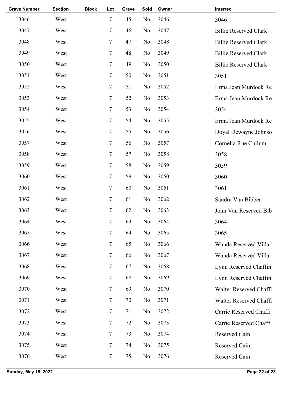| <b>Grave Number</b> | <b>Section</b> | <b>Block</b> | Lot            | Grave | Sold           | Owner | Interred                     |
|---------------------|----------------|--------------|----------------|-------|----------------|-------|------------------------------|
| 3046                | West           |              | $\overline{7}$ | 45    | No             | 3046  | 3046                         |
| 3047                | West           |              | $\tau$         | 46    | No             | 3047  | <b>Billie Reserved Clark</b> |
| 3048                | West           |              | $\tau$         | 47    | No             | 3048  | <b>Billie Reserved Clark</b> |
| 3049                | West           |              | $\tau$         | 48    | No             | 3049  | <b>Billie Reserved Clark</b> |
| 3050                | West           |              | $\tau$         | 49    | No             | 3050  | <b>Billie Reserved Clark</b> |
| 3051                | West           |              | $\overline{7}$ | 50    | No             | 3051  | 3051                         |
| 3052                | West           |              | $\tau$         | 51    | No             | 3052  | Erma Jean Murdock Re         |
| 3053                | West           |              | $\tau$         | 52    | No             | 3053  | Erma Jean Murdock Re         |
| 3054                | West           |              | $\tau$         | 53    | No             | 3054  | 3054                         |
| 3055                | West           |              | $\overline{7}$ | 54    | No             | 3055  | Erma Jean Murdock Re         |
| 3056                | West           |              | $\tau$         | 55    | No             | 3056  | Doyal Dewayne Johnso         |
| 3057                | West           |              | $\tau$         | 56    | No             | 3057  | Cornelia Rue Cullum          |
| 3058                | West           |              | $\tau$         | 57    | No             | 3058  | 3058                         |
| 3059                | West           |              | $\overline{7}$ | 58    | No             | 3059  | 3059                         |
| 3060                | West           |              | $\overline{7}$ | 59    | No             | 3060  | 3060                         |
| 3061                | West           |              | $\overline{7}$ | 60    | No             | 3061  | 3061                         |
| 3062                | West           |              | $\tau$         | 61    | No             | 3062  | Sandra Van Bibber            |
| 3063                | West           |              | $\tau$         | 62    | No             | 3063  | John Van Reserved Bib        |
| 3064                | West           |              | 7              | 63    | No             | 3064  | 3064                         |
| 3065                | West           |              | $\tau$         | 64    | No             | 3065  | 3065                         |
| 3066                | West           |              | 7              | 65    | No             | 3066  | Wanda Reserved Villar        |
| 3067                | West           |              | $\tau$         | 66    | No             | 3067  | Wanda Reserved Villar        |
| 3068                | West           |              | $\tau$         | 67    | No             | 3068  | Lynn Reserved Chaffin        |
| 3069                | West           |              | $\tau$         | 68    | No             | 3069  | Lynn Reserved Chaffin        |
| 3070                | West           |              | 7              | 69    | No             | 3070  | Walter Reserved Chaffi       |
| 3071                | West           |              | $\tau$         | 70    | No             | 3071  | Walter Reserved Chaffi       |
| 3072                | West           |              | $\tau$         | 71    | N <sub>0</sub> | 3072  | Carrie Reserved Chaffi       |
| 3073                | West           |              | $\tau$         | 72    | No             | 3073  | Carrie Reserved Chaffi       |
| 3074                | West           |              | $\tau$         | 73    | No             | 3074  | Reserved Cain                |
| 3075                | West           |              | $\tau$         | 74    | No             | 3075  | Reserved Cain                |
| 3076                | West           |              | $\tau$         | 75    | N <sub>0</sub> | 3076  | Reserved Cain                |
|                     |                |              |                |       |                |       |                              |